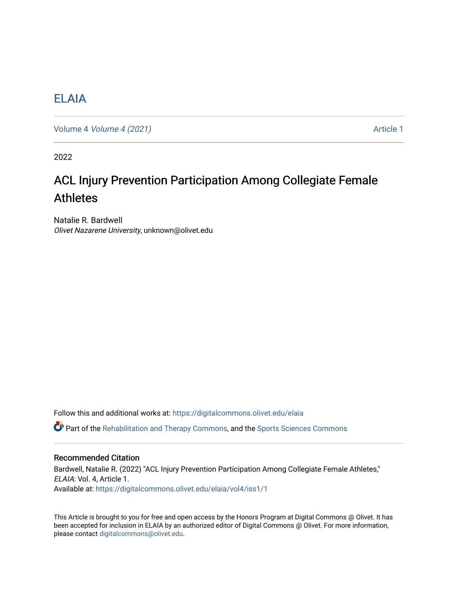# [ELAIA](https://digitalcommons.olivet.edu/elaia)

Volume 4 [Volume 4 \(2021\)](https://digitalcommons.olivet.edu/elaia/vol4) **Article 1** Article 1

2022

# ACL Injury Prevention Participation Among Collegiate Female Athletes

Natalie R. Bardwell Olivet Nazarene University, unknown@olivet.edu

Follow this and additional works at: [https://digitalcommons.olivet.edu/elaia](https://digitalcommons.olivet.edu/elaia?utm_source=digitalcommons.olivet.edu%2Felaia%2Fvol4%2Fiss1%2F1&utm_medium=PDF&utm_campaign=PDFCoverPages)

Part of the [Rehabilitation and Therapy Commons,](http://network.bepress.com/hgg/discipline/749?utm_source=digitalcommons.olivet.edu%2Felaia%2Fvol4%2Fiss1%2F1&utm_medium=PDF&utm_campaign=PDFCoverPages) and the [Sports Sciences Commons](http://network.bepress.com/hgg/discipline/759?utm_source=digitalcommons.olivet.edu%2Felaia%2Fvol4%2Fiss1%2F1&utm_medium=PDF&utm_campaign=PDFCoverPages) 

# Recommended Citation

Bardwell, Natalie R. (2022) "ACL Injury Prevention Participation Among Collegiate Female Athletes," ELAIA: Vol. 4, Article 1. Available at: [https://digitalcommons.olivet.edu/elaia/vol4/iss1/1](https://digitalcommons.olivet.edu/elaia/vol4/iss1/1?utm_source=digitalcommons.olivet.edu%2Felaia%2Fvol4%2Fiss1%2F1&utm_medium=PDF&utm_campaign=PDFCoverPages)

This Article is brought to you for free and open access by the Honors Program at Digital Commons @ Olivet. It has been accepted for inclusion in ELAIA by an authorized editor of Digital Commons @ Olivet. For more information, please contact [digitalcommons@olivet.edu.](mailto:digitalcommons@olivet.edu)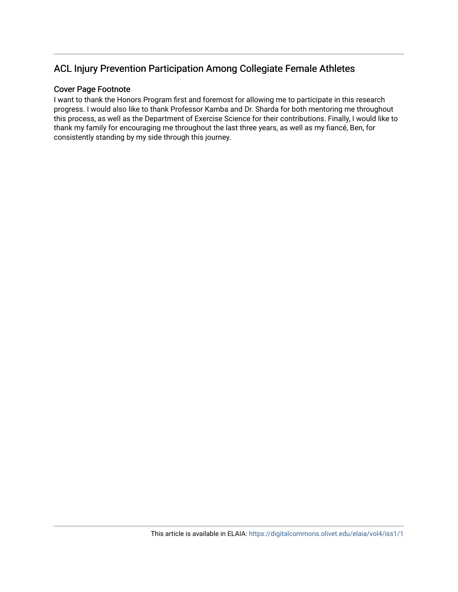# ACL Injury Prevention Participation Among Collegiate Female Athletes

# Cover Page Footnote

I want to thank the Honors Program first and foremost for allowing me to participate in this research progress. I would also like to thank Professor Kamba and Dr. Sharda for both mentoring me throughout this process, as well as the Department of Exercise Science for their contributions. Finally, I would like to thank my family for encouraging me throughout the last three years, as well as my fiancé, Ben, for consistently standing by my side through this journey.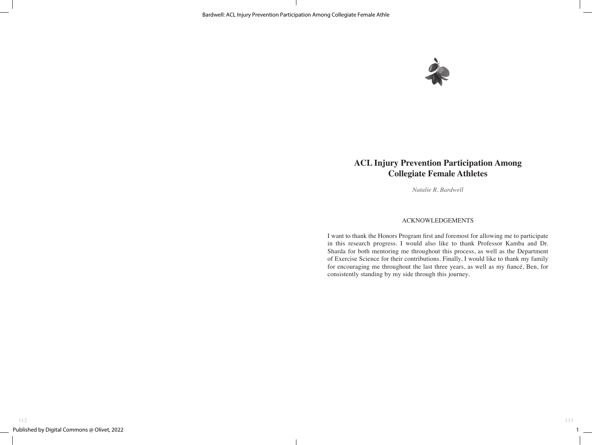

# **ACL Injury Prevention Participation Among Collegiate Female Athletes**

*Natalie R. Bardwell*

# ACKNOWLEDGEMENTS

I want to thank the Honors Program first and foremost for allowing me to participate in this research progress. I would also like to thank Professor Kamba and Dr. Sharda for both mentoring me throughout this process, as well as the Department of Exercise Science for their contributions. Finally, I would like to thank my family for encouraging me throughout the last three years, as well as my fiancé, Ben, for consistently standing by my side through this journey.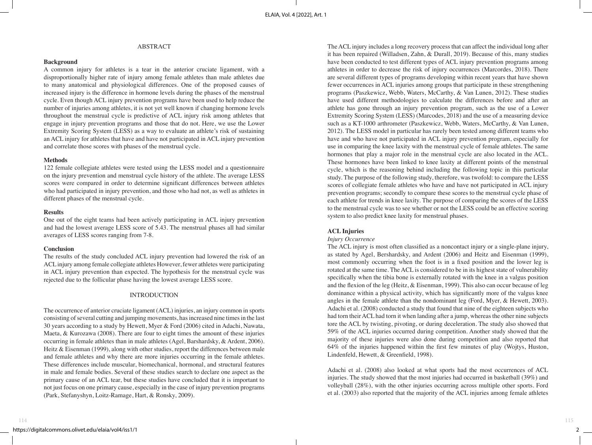# ABSTRACT

#### **Background**

A common injury for athletes is a tear in the anterior cruciate ligament, with a disproportionally higher rate of injury among female athletes than male athletes due to many anatomical and physiological differences. One of the proposed causes of increased injury is the difference in hormone levels during the phases of the menstrual cycle. Even though ACL injury prevention programs have been used to help reduce the number of injuries among athletes, it is not yet well known if changing hormone levels throughout the menstrual cycle is predictive of ACL injury risk among athletes that engage in injury prevention programs and those that do not. Here, we use the Lower Extremity Scoring System (LESS) as a way to evaluate an athlete's risk of sustaining an ACL injury for athletes that have and have not participated in ACL injury prevention and correlate those scores with phases of the menstrual cycle.

#### **Methods**

122 female collegiate athletes were tested using the LESS model and a questionnaire on the injury prevention and menstrual cycle history of the athlete. The average LESS scores were compared in order to determine significant differences between athletes who had participated in injury prevention, and those who had not, as well as athletes in different phases of the menstrual cycle.

#### **Results**

One out of the eight teams had been actively participating in ACL injury prevention and had the lowest average LESS score of 5.43. The menstrual phases all had similar averages of LESS scores ranging from 7-8.

#### **Conclusion**

The results of the study concluded ACL injury prevention had lowered the risk of an ACL injury among female collegiate athletes However, fewer athletes were participating in ACL injury prevention than expected. The hypothesis for the menstrual cycle was rejected due to the follicular phase having the lowest average LESS score.

#### INTRODUCTION

The occurrence of anterior cruciate ligament (ACL) injuries, an injury common in sports consisting of several cutting and jumping movements, has increased nine times in the last 30 years according to a study by Hewett, Myer & Ford (2006) cited in Adachi, Nawata, Maeta, & Kurozawa (2008). There are four to eight times the amount of these injuries occurring in female athletes than in male athletes (Agel, Barshardsky, & Ardent, 2006). Heitz & Eisenman (1999), along with other studies, report the differences between male and female athletes and why there are more injuries occurring in the female athletes. These differences include muscular, biomechanical, hormonal, and structural features in male and female bodies. Several of these studies search to declare one aspect as the primary cause of an ACL tear, but these studies have concluded that it is important to not just focus on one primary cause, especially in the case of injury prevention programs (Park, Stefanyshyn, Loitz-Ramage, Hart, & Ronsky, 2009).

The ACL injury includes a long recovery process that can affect the individual long after it has been repaired (Willadsen, Zahn, & Durall, 2019). Because of this, many studies have been conducted to test different types of ACL injury prevention programs among athletes in order to decrease the risk of injury occurrences (Marcordes, 2018). There are several different types of programs developing within recent years that have shown fewer occurrences in ACL injuries among groups that participate in these strengthening programs (Paszkewicz, Webb, Waters, McCarthy, & Van Lunen, 2012). These studies have used different methodologies to calculate the differences before and after an athlete has gone through an injury prevention program, such as the use of a Lower Extremity Scoring System (LESS) (Marcodes, 2018) and the use of a measuring device such as a KT-1000 arthrometer (Paszkewicz, Webb, Waters, McCarthy, & Van Lunen, 2012). The LESS model in particular has rarely been tested among different teams who have and who have not participated in ACL injury prevention program, especially for use in comparing the knee laxity with the menstrual cycle of female athletes. The same hormones that play a major role in the menstrual cycle are also located in the ACL. These hormones have been linked to knee laxity at different points of the menstrual cycle, which is the reasoning behind including the following topic in this particular study. The purpose of the following study, therefore, was twofold: to compare the LESS scores of collegiate female athletes who have and have not participated in ACL injury prevention programs; secondly to compare these scores to the menstrual cycle phase of each athlete for trends in knee laxity. The purpose of comparing the scores of the LESS to the menstrual cycle was to see whether or not the LESS could be an effective scoring system to also predict knee laxity for menstrual phases.

# **ACL Injuries**

#### *Injury Occurrence*

The ACL injury is most often classified as a noncontact injury or a single-plane injury, as stated by Agel, Bershardsky, and Ardent (2006) and Heitz and Eisenman (1999), most commonly occurring when the foot is in a fixed position and the lower leg is rotated at the same time. The ACL is considered to be in its highest state of vulnerability specifically when the tibia bone is externally rotated with the knee in a valgus position and the flexion of the leg (Heitz, & Eisenman, 1999). This also can occur because of leg dominance within a physical activity, which has significantly more of the valgus knee angles in the female athlete than the nondominant leg (Ford, Myer, & Hewett, 2003). Adachi et al. (2008) conducted a study that found that nine of the eighteen subjects who had torn their ACL had torn it when landing after a jump, whereas the other nine subjects tore the ACL by twisting, pivoting, or during deceleration. The study also showed that 59% of the ACL injuries occurred during competition. Another study showed that the majority of these injuries were also done during competition and also reported that 64% of the injuries happened within the first few minutes of play (Wojtys, Huston, Lindenfeld, Hewett, & Greenfield, 1998).

Adachi et al. (2008) also looked at what sports had the most occurrences of ACL injuries. The study showed that the most injuries had occurred in basketball (39%) and volleyball (28%), with the other injuries occurring across multiple other sports. Ford et al. (2003) also reported that the majority of the ACL injuries among female athletes

 $2$   $\qquad$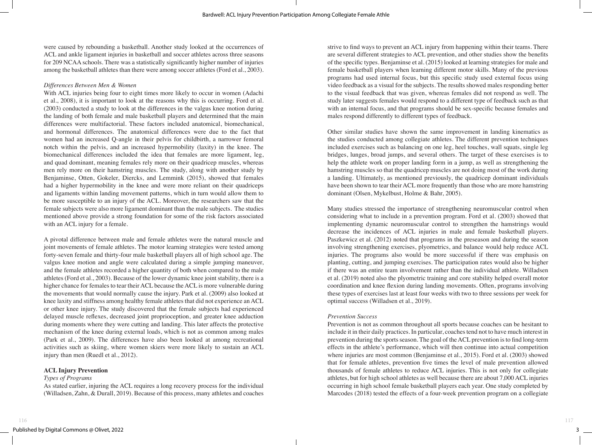were caused by rebounding a basketball. Another study looked at the occurrences of ACL and ankle ligament injuries in basketball and soccer athletes across three seasons for 209 NCAA schools. There was a statistically significantly higher number of injuries among the basketball athletes than there were among soccer athletes (Ford et al., 2003).

#### *Differences Between Men & Women*

With ACL injuries being four to eight times more likely to occur in women (Adachi et al., 2008), it is important to look at the reasons why this is occurring. Ford et al. (2003) conducted a study to look at the differences in the valgus knee motion during the landing of both female and male basketball players and determined that the main differences were multifactorial. These factors included anatomical, biomechanical, and hormonal differences. The anatomical differences were due to the fact that women had an increased Q-angle in their pelvis for childbirth, a narrower femoral notch within the pelvis, and an increased hypermobility (laxity) in the knee. The biomechanical differences included the idea that females are more ligament, leg, and quad dominant, meaning females rely more on their quadricep muscles, whereas men rely more on their hamstring muscles. The study, along with another study by Benjaminse, Otten, Gokeler, Diercks, and Lemmink (2015), showed that females had a higher hypermobility in the knee and were more reliant on their quadriceps and ligaments within landing movement patterns, which in turn would allow them to be more susceptible to an injury of the ACL. Moreover, the researchers saw that the female subjects were also more ligament dominant than the male subjects. The studies mentioned above provide a strong foundation for some of the risk factors associated with an ACL injury for a female.

A pivotal difference between male and female athletes were the natural muscle and joint movements of female athletes. The motor learning strategies were tested among forty-seven female and thirty-four male basketball players all of high school age. The valgus knee motion and angle were calculated during a simple jumping maneuver, and the female athletes recorded a higher quantity of both when compared to the male athletes (Ford et al., 2003). Because of the lower dynamic knee joint stability, there is a higher chance for females to tear their ACL because the ACL is more vulnerable during the movements that would normally cause the injury. Park et al. (2009) also looked at knee laxity and stiffness among healthy female athletes that did not experience an ACL or other knee injury. The study discovered that the female subjects had experienced delayed muscle reflexes, decreased joint proprioception, and greater knee adduction during moments where they were cutting and landing. This later affects the protective mechanism of the knee during external loads, which is not as common among males (Park et al., 2009). The differences have also been looked at among recreational activities such as skiing, where women skiers were more likely to sustain an ACL injury than men (Ruedl et al., 2012).

# **ACL Injury Prevention**

# *Types of Programs*

As stated earlier, injuring the ACL requires a long recovery process for the individual (Willadsen, Zahn, & Durall, 2019). Because of this process, many athletes and coaches strive to find ways to prevent an ACL injury from happening within their teams. There are several different strategies to ACL prevention, and other studies show the benefits of the specific types. Benjaminse et al. (2015) looked at learning strategies for male and female basketball players when learning different motor skills. Many of the previous programs had used internal focus, but this specific study used external focus using video feedback as a visual for the subjects. The results showed males responding better to the visual feedback that was given, whereas females did not respond as well. The study later suggests females would respond to a different type of feedback such as that with an internal focus, and that programs should be sex-specific because females and males respond differently to different types of feedback.

Other similar studies have shown the same improvement in landing kinematics as the studies conducted among collegiate athletes. The different prevention techniques included exercises such as balancing on one leg, heel touches, wall squats, single leg bridges, lunges, broad jumps, and several others. The target of these exercises is to help the athlete work on proper landing form in a jump, as well as strengthening the hamstring muscles so that the quadricep muscles are not doing most of the work during a landing. Ultimately, as mentioned previously, the quadricep dominant individuals have been shown to tear their ACL more frequently than those who are more hamstring dominant (Olsen, Mykelbust, Holme & Bahr, 2005).

Many studies stressed the importance of strengthening neuromuscular control when considering what to include in a prevention program. Ford et al. (2003) showed that implementing dynamic neuromuscular control to strengthen the hamstrings would decrease the incidences of ACL injuries in male and female basketball players. Paszkewicz et al. (2012) noted that programs in the preseason and during the season involving strengthening exercises, plyometrics, and balance would help reduce ACL injuries. The programs also would be more successful if there was emphasis on planting, cutting, and jumping exercises. The participation rates would also be higher if there was an entire team involvement rather than the individual athlete. Willadsen et al. (2019) noted also the plyometric training and core stability helped overall motor coordination and knee flexion during landing movements. Often, programs involving these types of exercises last at least four weeks with two to three sessions per week for optimal success (Willadsen et al., 2019).

# *Prevention Success*

Prevention is not as common throughout all sports because coaches can be hesitant to include it in their daily practices. In particular, coaches tend not to have much interest in prevention during the sports season. The goal of the ACL prevention is to find long-term effects in the athlete's performance, which will then continue into actual competition where injuries are most common (Benjaminse et al., 2015). Ford et al. (2003) showed that for female athletes, prevention five times the level of male prevention allowed thousands of female athletes to reduce ACL injuries. This is not only for collegiate athletes, but for high school athletes as well because there are about 7,000 ACL injuries occurring in high school female basketball players each year. One study completed by Marcodes (2018) tested the effects of a four-week prevention program on a collegiate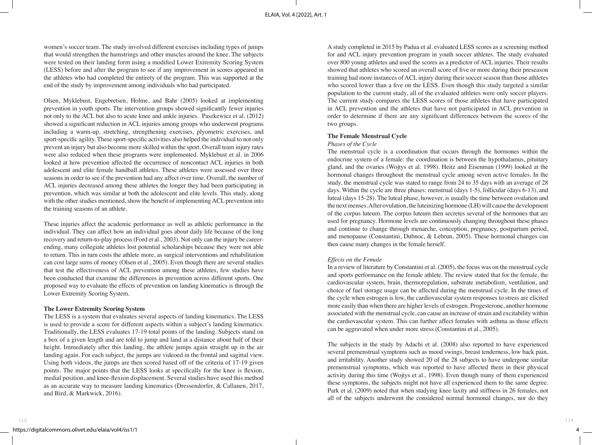women's soccer team. The study involved different exercises including types of jumps that would strengthen the hamstrings and other muscles around the knee. The subjects were tested on their landing form using a modified Lower Extremity Scoring System (LESS) before and after the program to see if any improvement in scores appeared in the athletes who had completed the entirety of the program. This was supported at the end of the study by improvement among individuals who had participated.

Olsen, Myklebust, Engebretsen, Holme, and Bahr (2005) looked at implementing prevention in youth sports. The intervention groups showed significantly fewer injuries not only to the ACL but also to acute knee and ankle injuries. Paszkewicz et al. (2012) showed a significant reduction in ACL injuries among groups who underwent programs including a warm-up, stretching, strengthening exercises, plyometric exercises, and sport-specific agility. These sport-specific activities also helped the individual to not only prevent an injury but also become more skilled within the sport. Overall team injury rates were also reduced when these programs were implemented. Myklebust et al. in 2006 looked at how prevention affected the occurrence of noncontact ACL injuries in both adolescent and elite female handball athletes. These athletes were assessed over three seasons in order to see if the prevention had any affect over time. Overall, the number of ACL injuries decreased among these athletes the longer they had been participating in prevention, which was similar at both the adolescent and elite levels. This study, along with the other studies mentioned, show the benefit of implementing ACL prevention into the training seasons of an athlete.

These injuries affect the academic performance as well as athletic performance in the individual. They can affect how an individual goes about daily life because of the long recovery and return-to-play process (Ford et al., 2003). Not only can the injury be careerending, many collegiate athletes lost potential scholarships because they were not able to return. This in turn costs the athlete more, as surgical interventions and rehabilitation can cost large sums of money (Olsen et al., 2005). Even though there are several studies that test the effectiveness of ACL prevention among these athletes, few studies have been conducted that examine the differences in prevention across different sports. One proposed way to evaluate the effects of prevention on landing kinematics is through the Lower Extremity Scoring System.

#### **The Lower Extremity Scoring System**

The LESS is a system that evaluates several aspects of landing kinematics. The LESS is used to provide a score for different aspects within a subject's landing kinematics. Traditionally, the LESS evaluates 17-19 total points of the landing. Subjects stand on a box of a given length and are told to jump and land at a distance about half of their height. Immediately after this landing, the athlete jumps again straight up in the air landing again. For each subject, the jumps are videoed in the frontal and sagittal view. Using both videos, the jumps are then scored based off of the criteria of 17-19 given points. The major points that the LESS looks at specifically for the knee is flexion, medial position, and knee-flexion displacement. Several studies have used this method as an accurate way to measure landing kinematics (Dressendorfer, & Callanen, 2017, and Bird, & Markwick, 2016).

A study completed in 2015 by Padua et al. evaluated LESS scores as a screening method for and ACL injury prevention program in youth soccer athletes. The study evaluated over 800 young athletes and used the scores as a predictor of ACL injuries. Their results showed that athletes who scored an overall score of five or more during their preseason training had more instances of ACL injury during their soccer season than those athletes who scored lower than a five on the LESS. Even though this study targeted a similar population to the current study, all of the evaluated athletes were only soccer players. The current study compares the LESS scores of those athletes that have participated in ACL prevention and the athletes that have not participated in ACL prevention in order to determine if there are any significant differences between the scores of the two groups.

#### **The Female Menstrual Cycle**

#### *Phases of the Cycle*

The menstrual cycle is a coordination that occurs through the hormones within the endocrine system of a female: the coordination is between the hypothalamus, pituitary gland, and the ovaries (Wojtys et al. 1998). Heitz and Eisenman (1999) looked at the hormonal changes throughout the menstrual cycle among seven active females. In the study, the menstrual cycle was stated to range from 24 to 35 days with an average of 28 days. Within the cycle are three phases: menstrual (days 1-5), follicular (days 6-13), and luteal (days 15-28). The luteal phase, however, is usually the time between ovulation and the next menses. After ovulation, the luteinizing hormone (LH) will cause the development of the corpus luteum. The corpus luteum then secretes several of the hormones that are used for pregnancy. Hormone levels are continuously changing throughout these phases and continue to change through menarche, conception, pregnancy, postpartum period, and menopause (Constantini, Dubnoc, & Lebrun, 2005). These hormonal changes can then cause many changes in the female herself.

#### *Effects on the Female*

In a review of literature by Constantini et al. (2005), the focus was on the menstrual cycle and sports performance on the female athlete. The review stated that for the female, the cardiovascular system, brain, thermoregulation, substrate metabolism, ventilation, and choice of fuel storage usage can be affected during the menstrual cycle. In the times of the cycle when estrogen is low, the cardiovascular system responses to stress are elicited more easily than when there are higher levels of estrogen. Progesterone, another hormone associated with the menstrual cycle, can cause an increase of strain and excitability within the cardiovascular system. This can further affect females with asthma as those effects can be aggravated when under more stress (Constantini et al., 2005).

The subjects in the study by Adachi et al. (2008) also reported to have experienced several premenstrual symptoms such as mood swings, breast tenderness, low back pain, and irritability. Another study showed 20 of the 28 subjects to have undergone similar premenstrual symptoms, which was reported to have affected them in their physical activity during this time (Wojtys et al., 1998). Even though many of them experienced these symptoms, the subjects might not have all experienced them to the same degree. Park et al. (2009) noted that when studying knee laxity and stiffness in 26 females, not all of the subjects underwent the considered normal hormonal changes, nor do they

4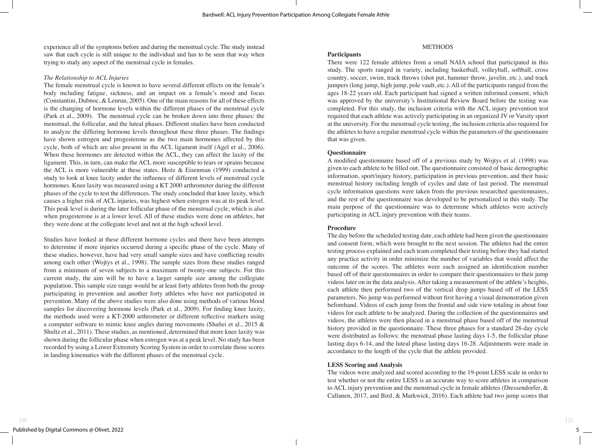experience all of the symptoms before and during the menstrual cycle. The study instead saw that each cycle is still unique to the individual and has to be seen that way when trying to study any aspect of the menstrual cycle in females.

#### *The Relationship to ACL Injuries*

The female menstrual cycle is known to have several different effects on the female's body including fatigue, sickness, and an impact on a female's mood and focus (Constantini, Dubnoc, & Lenrun, 2005). One of the main reasons for all of these effects is the changing of hormone levels within the different phases of the menstrual cycle (Park et al., 2009). The menstrual cycle can be broken down into three phases: the menstrual, the follicular, and the luteal phases. Different studies have been conducted to analyze the differing hormone levels throughout these three phases. The findings have shown estrogen and progesterone as the two main hormones affected by this cycle, both of which are also present in the ACL ligament itself (Agel et al., 2006). When these hormones are detected within the ACL, they can affect the laxity of the ligament. This, in turn, can make the ACL more susceptible to tears or sprains because the ACL is more vulnerable at these states. Heitz & Eisenman (1999) conducted a study to look at knee laxity under the influence of different levels of menstrual cycle hormones. Knee laxity was measured using a KT 2000 arthrometer during the different phases of the cycle to test the differences. The study concluded that knee laxity, which causes a higher risk of ACL injuries, was highest when estrogen was at its peak level. This peak level is during the later follicular phase of the menstrual cycle, which is also when progesterone is at a lower level. All of these studies were done on athletes, but they were done at the collegiate level and not at the high school level.

Studies have looked at these different hormone cycles and there have been attempts to determine if more injuries occurred during a specific phase of the cycle. Many of these studies, however, have had very small sample sizes and have conflicting results among each other (Wojtys et al., 1998). The sample sizes from these studies ranged from a minimum of seven subjects to a maximum of twenty-one subjects. For this current study, the aim will be to have a larger sample size among the collegiate population. This sample size range would be at least forty athletes from both the group participating in prevention and another forty athletes who have not participated in prevention. Many of the above studies were also done using methods of various blood samples for discovering hormone levels (Park et al., 2009). For finding knee laxity, the methods used were a KT-2000 arthrometer or different reflective markers using a computer software to mimic knee angles during movements (Shafiei et al., 2015 & Shultz et al., 2011). These studies, as mentioned, determined that more knee laxity was shown during the follicular phase when estrogen was at a peak level. No study has been recorded by using a Lower Extremity Scoring System in order to correlate those scores in landing kinematics with the different phases of the menstrual cycle.

# METHODS

# **Participants**

There were 122 female athletes from a small NAIA school that participated in this study. The sports ranged in variety, including basketball, volleyball, softball, cross country, soccer, swim, track throws (shot put, hammer throw, javelin, etc.), and track jumpers (long jump, high jump, pole vault, etc.). All of the participants ranged from the ages 18-22 years old. Each participant had signed a written informed consent, which was approved by the university's Institutional Review Board before the testing was completed. For this study, the inclusion criteria with the ACL injury prevention test required that each athlete was actively participating in an organized JV or Varsity sport at the university. For the menstrual cycle testing, the inclusion criteria also required for the athletes to have a regular menstrual cycle within the parameters of the questionnaire that was given.

#### **Questionnaire**

A modified questionnaire based off of a previous study by Wojtys et al. (1998) was given to each athlete to be filled out. The questionnaire consisted of basic demographic information, sport/injury history, participation in previous prevention, and their basic menstrual history including length of cycles and date of last period. The menstrual cycle information questions were taken from the previous researched questionnaires, and the rest of the questionnaire was developed to be personalized in this study. The main purpose of the questionnaire was to determine which athletes were actively participating in ACL injury prevention with their teams.

# **Procedure**

The day before the scheduled testing date, each athlete had been given the questionnaire and consent form, which were brought to the next session. The athletes had the entire testing process explained and each team completed their testing before they had started any practice activity in order minimize the number of variables that would affect the outcome of the scores. The athletes were each assigned an identification number based off of their questionnaires in order to compare their questionnaires to their jump videos later on in the data analysis. After taking a measurement of the athlete's heights, each athlete then performed two of the vertical drop jumps based off of the LESS parameters. No jump was performed without first having a visual demonstration given beforehand. Videos of each jump from the frontal and side view totaling in about four videos for each athlete to be analyzed. During the collection of the questionnaires and videos, the athletes were then placed in a menstrual phase based off of the menstrual history provided in the questionnaire. These three phases for a standard 28-day cycle were distributed as follows: the menstrual phase lasting days 1-5, the follicular phase lasting days 6-14, and the luteal phase lasting days 16-28. Adjustments were made in accordance to the length of the cycle that the athlete provided.

# **LESS Scoring and Analysis**

The videos were analyzed and scored according to the 19-point LESS scale in order to test whether or not the entire LESS is an accurate way to score athletes in comparison to ACL injury prevention and the menstrual cycle in female athletes (Dressendorfer, & Callanen, 2017, and Bird, & Markwick, 2016). Each athlete had two jump scores that

121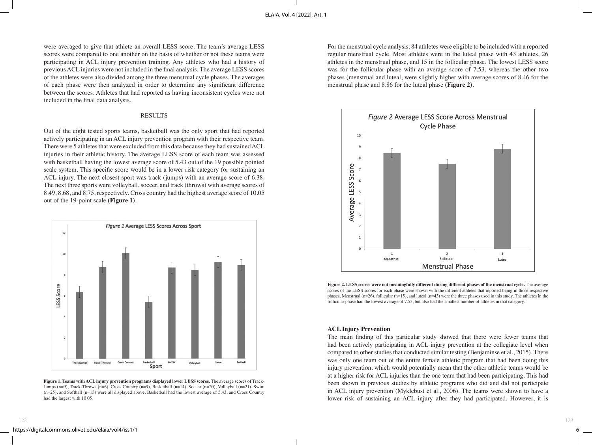were averaged to give that athlete an overall LESS score. The team's average LESS scores were compared to one another on the basis of whether or not these teams were participating in ACL injury prevention training. Any athletes who had a history of previous ACL injuries were not included in the final analysis. The average LESS scores of the athletes were also divided among the three menstrual cycle phases. The averages of each phase were then analyzed in order to determine any significant difference between the scores. Athletes that had reported as having inconsistent cycles were not included in the final data analysis.

# RESULTS

Out of the eight tested sports teams, basketball was the only sport that had reported actively participating in an ACL injury prevention program with their respective team. There were 5 athletes that were excluded from this data because they had sustained ACL injuries in their athletic history. The average LESS score of each team was assessed with basketball having the lowest average score of 5.43 out of the 19 possible pointed scale system. This specific score would be in a lower risk category for sustaining an ACL injury. The next closest sport was track (jumps) with an average score of 6.38. The next three sports were volleyball, soccer, and track (throws) with average scores of 8.49, 8.68, and 8.75, respectively. Cross country had the highest average score of 10.05 out of the 19-point scale **(Figure 1)**.



**Figure 1. Teams with ACL injury prevention programs displayed lower LESS scores.** The average scores of Track-Jumps (n=9), Track-Throws (n=6), Cross Country (n=9), Basketball (n=14), Soccer (n=20), Volleyball (n=21), Swim (n=25), and Softball (n=13) were all displayed above. Basketball had the lowest average of 5.43, and Cross Country had the largest with 10.05.

For the menstrual cycle analysis, 84 athletes were eligible to be included with a reported regular menstrual cycle. Most athletes were in the luteal phase with 43 athletes, 26 athletes in the menstrual phase, and 15 in the follicular phase. The lowest LESS score was for the follicular phase with an average score of 7.53, whereas the other two phases (menstrual and luteal, were slightly higher with average scores of 8.46 for the menstrual phase and 8.86 for the luteal phase **(Figure 2)**.



**Figure 2. LESS scores were not meaningfully different during different phases of the menstrual cycle.** The average scores of the LESS scores for each phase were shown with the different athletes that reported being in those respective phases. Menstrual (n=26), follicular (n=15), and luteal (n=43) were the three phases used in this study. The athletes in the follicular phase had the lowest average of 7.53, but also had the smallest number of athletes in that category.

# **ACL Injury Prevention**

The main finding of this particular study showed that there were fewer teams that had been actively participating in ACL injury prevention at the collegiate level when compared to other studies that conducted similar testing (Benjaminse et al., 2015). There was only one team out of the entire female athletic program that had been doing this injury prevention, which would potentially mean that the other athletic teams would be at a higher risk for ACL injuries than the one team that had been participating. This had been shown in previous studies by athletic programs who did and did not participate in ACL injury prevention (Myklebust et al., 2006). The teams were shown to have a lower risk of sustaining an ACL injury after they had participated. However, it is

6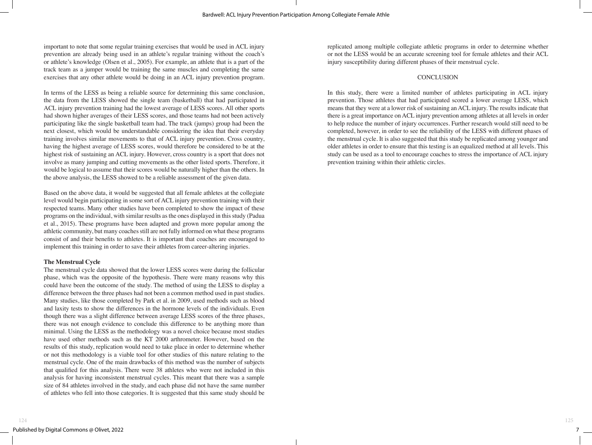important to note that some regular training exercises that would be used in ACL injury prevention are already being used in an athlete's regular training without the coach's or athlete's knowledge (Olsen et al., 2005). For example, an athlete that is a part of the track team as a jumper would be training the same muscles and completing the same exercises that any other athlete would be doing in an ACL injury prevention program.

In terms of the LESS as being a reliable source for determining this same conclusion, the data from the LESS showed the single team (basketball) that had participated in ACL injury prevention training had the lowest average of LESS scores. All other sports had shown higher averages of their LESS scores, and those teams had not been actively participating like the single basketball team had. The track (jumps) group had been the next closest, which would be understandable considering the idea that their everyday training involves similar movements to that of ACL injury prevention. Cross country, having the highest average of LESS scores, would therefore be considered to be at the highest risk of sustaining an ACL injury. However, cross country is a sport that does not involve as many jumping and cutting movements as the other listed sports. Therefore, it would be logical to assume that their scores would be naturally higher than the others. In the above analysis, the LESS showed to be a reliable assessment of the given data.

Based on the above data, it would be suggested that all female athletes at the collegiate level would begin participating in some sort of ACL injury prevention training with their respected teams. Many other studies have been completed to show the impact of these programs on the individual, with similar results as the ones displayed in this study (Padua et al., 2015). These programs have been adapted and grown more popular among the athletic community, but many coaches still are not fully informed on what these programs consist of and their benefits to athletes. It is important that coaches are encouraged to implement this training in order to save their athletes from career-altering injuries.

# **The Menstrual Cycle**

The menstrual cycle data showed that the lower LESS scores were during the follicular phase, which was the opposite of the hypothesis. There were many reasons why this could have been the outcome of the study. The method of using the LESS to display a difference between the three phases had not been a common method used in past studies. Many studies, like those completed by Park et al. in 2009, used methods such as blood and laxity tests to show the differences in the hormone levels of the individuals. Even though there was a slight difference between average LESS scores of the three phases, there was not enough evidence to conclude this difference to be anything more than minimal. Using the LESS as the methodology was a novel choice because most studies have used other methods such as the KT 2000 arthrometer. However, based on the results of this study, replication would need to take place in order to determine whether or not this methodology is a viable tool for other studies of this nature relating to the menstrual cycle. One of the main drawbacks of this method was the number of subjects that qualified for this analysis. There were 38 athletes who were not included in this analysis for having inconsistent menstrual cycles. This meant that there was a sample size of 84 athletes involved in the study, and each phase did not have the same number of athletes who fell into those categories. It is suggested that this same study should be

replicated among multiple collegiate athletic programs in order to determine whether or not the LESS would be an accurate screening tool for female athletes and their ACL injury susceptibility during different phases of their menstrual cycle.

# **CONCLUSION**

In this study, there were a limited number of athletes participating in ACL injury prevention. Those athletes that had participated scored a lower average LESS, which means that they were at a lower risk of sustaining an ACL injury. The results indicate that there is a great importance on ACL injury prevention among athletes at all levels in order to help reduce the number of injury occurrences. Further research would still need to be completed, however, in order to see the reliability of the LESS with different phases of the menstrual cycle. It is also suggested that this study be replicated among younger and older athletes in order to ensure that this testing is an equalized method at all levels. This study can be used as a tool to encourage coaches to stress the importance of ACL injury prevention training within their athletic circles.